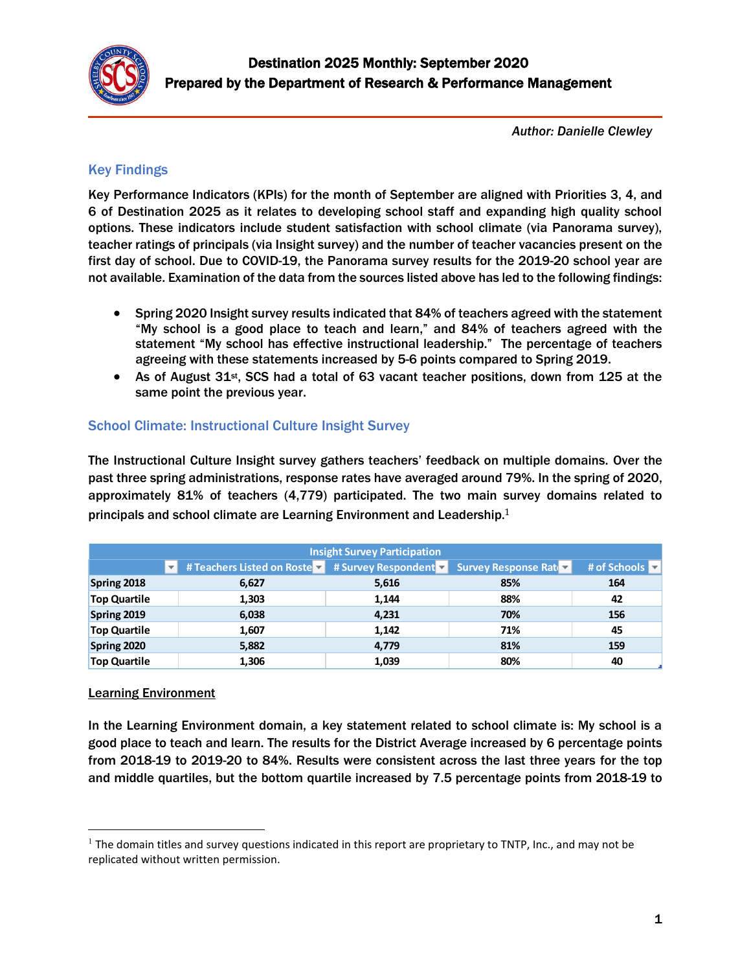

*Author: Danielle Clewley*

# Key Findings

Key Performance Indicators (KPIs) for the month of September are aligned with Priorities 3, 4, and 6 of Destination 2025 as it relates to developing school staff and expanding high quality school options. These indicators include student satisfaction with school climate (via Panorama survey), teacher ratings of principals (via Insight survey) and the number of teacher vacancies present on the first day of school. Due to COVID-19, the Panorama survey results for the 2019-20 school year are not available. Examination of the data from the sources listed above has led to the following findings:

- Spring 2020 Insight survey results indicated that 84% of teachers agreed with the statement "My school is a good place to teach and learn," and 84% of teachers agreed with the statement "My school has effective instructional leadership." The percentage of teachers agreeing with these statements increased by 5-6 points compared to Spring 2019.
- As of August 31st, SCS had a total of 63 vacant teacher positions, down from 125 at the same point the previous year.

# School Climate: Instructional Culture Insight Survey

The Instructional Culture Insight survey gathers teachers' feedback on multiple domains. Over the past three spring administrations, response rates have averaged around 79%. In the spring of 2020, approximately 81% of teachers (4,779) participated. The two main survey domains related to principals and school climate are Learning Environment and Leadership.<sup>1</sup>

| <b>Insight Survey Participation</b> |                                                                                 |       |     |              |  |  |
|-------------------------------------|---------------------------------------------------------------------------------|-------|-----|--------------|--|--|
|                                     | # Teachers Listed on Roste v # Survey Respondent v Survey Response Rate v<br>v. |       |     | # of Schools |  |  |
| Spring 2018                         | 6,627                                                                           | 5,616 | 85% | 164          |  |  |
| <b>Top Quartile</b>                 | 1,303                                                                           | 1,144 | 88% | 42           |  |  |
| Spring 2019                         | 6,038                                                                           | 4,231 | 70% | 156          |  |  |
| <b>Top Quartile</b>                 | 1,607                                                                           | 1,142 | 71% | 45           |  |  |
| Spring 2020                         | 5,882                                                                           | 4,779 | 81% | 159          |  |  |
| <b>Top Quartile</b>                 | 1,306                                                                           | 1,039 | 80% | 40           |  |  |

#### Learning Environment

 $\overline{\phantom{a}}$ 

In the Learning Environment domain, a key statement related to school climate is: My school is a good place to teach and learn. The results for the District Average increased by 6 percentage points from 2018-19 to 2019-20 to 84%. Results were consistent across the last three years for the top and middle quartiles, but the bottom quartile increased by 7.5 percentage points from 2018-19 to

 $<sup>1</sup>$  The domain titles and survey questions indicated in this report are proprietary to TNTP, Inc., and may not be</sup> replicated without written permission.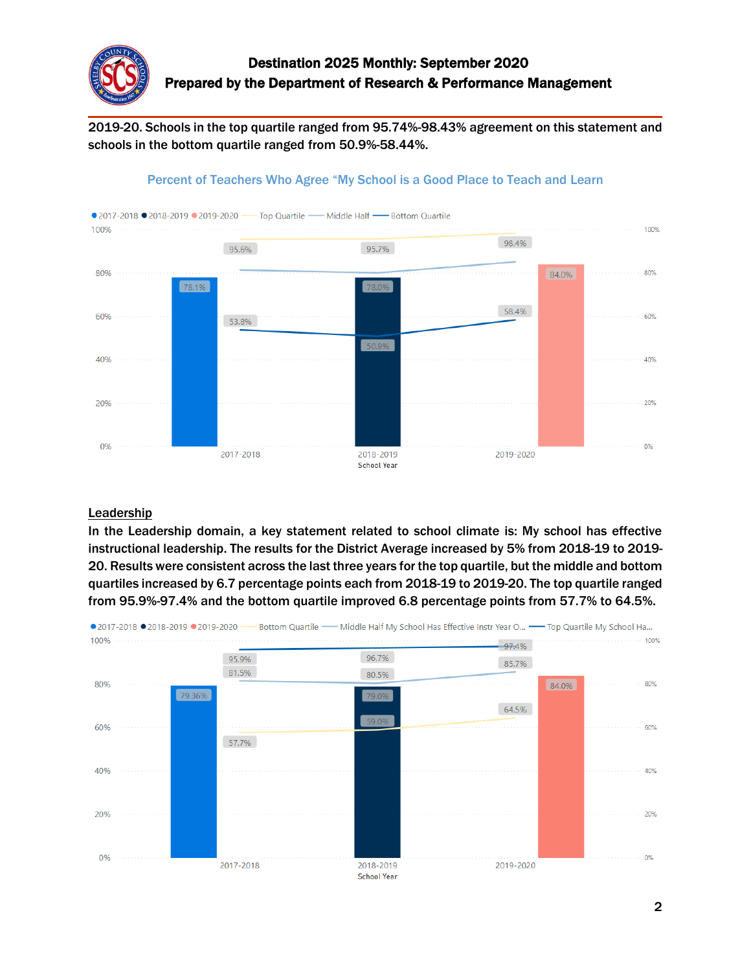

2019-20. Schools in the top quartile ranged from 95.74%-98.43% agreement on this statement and schools in the bottom quartile ranged from 50.9%-58.44%.





#### **Leadership**

In the Leadership domain, a key statement related to school climate is: My school has effective instructional leadership. The results for the District Average increased by 5% from 2018-19 to 2019- 20. Results were consistent across the last three years for the top quartile, but the middle and bottom quartiles increased by 6.7 percentage points each from 2018-19 to 2019-20. The top quartile ranged from 95.9%-97.4% and the bottom quartile improved 6.8 percentage points from 57.7% to 64.5%.

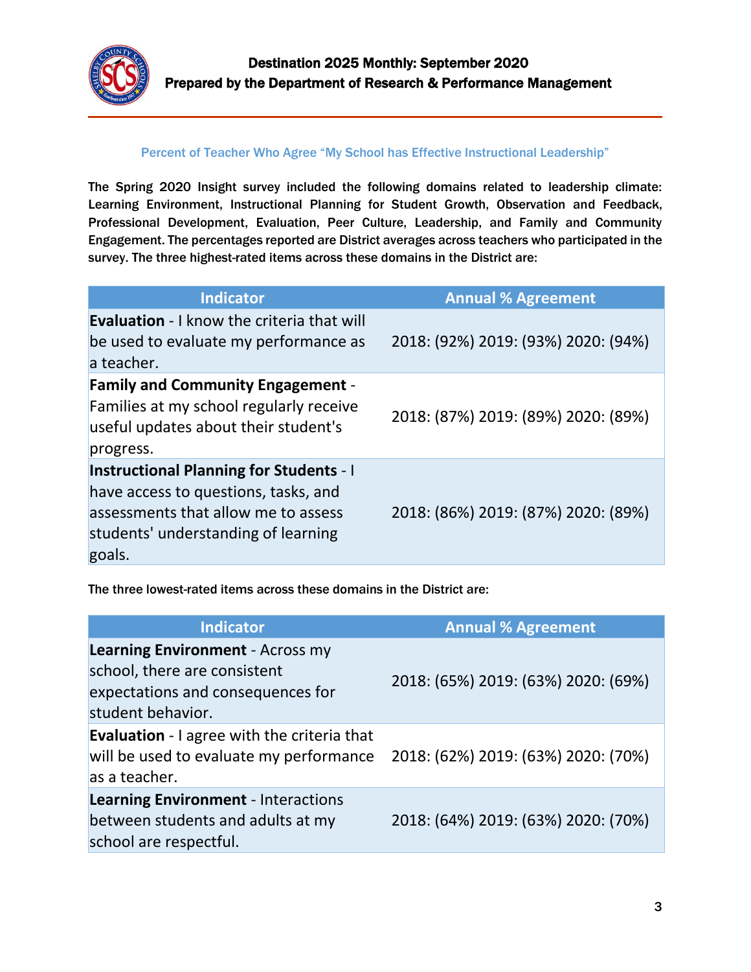

#### Percent of Teacher Who Agree "My School has Effective Instructional Leadership"

The Spring 2020 Insight survey included the following domains related to leadership climate: Learning Environment, Instructional Planning for Student Growth, Observation and Feedback, Professional Development, Evaluation, Peer Culture, Leadership, and Family and Community Engagement. The percentages reported are District averages across teachers who participated in the survey. The three highest-rated items across these domains in the District are:

| <b>Indicator</b>                                                                                                                                                               | <b>Annual % Agreement</b>           |
|--------------------------------------------------------------------------------------------------------------------------------------------------------------------------------|-------------------------------------|
| <b>Evaluation - I know the criteria that will</b><br>be used to evaluate my performance as<br>a teacher.                                                                       | 2018: (92%) 2019: (93%) 2020: (94%) |
| <b>Family and Community Engagement -</b><br>Families at my school regularly receive<br>useful updates about their student's<br>progress.                                       | 2018: (87%) 2019: (89%) 2020: (89%) |
| <b>Instructional Planning for Students - I</b><br>have access to questions, tasks, and<br>assessments that allow me to assess<br>students' understanding of learning<br>goals. | 2018: (86%) 2019: (87%) 2020: (89%) |

The three lowest-rated items across these domains in the District are:

| <b>Indicator</b>                                                                                                                  | <b>Annual % Agreement</b>           |
|-----------------------------------------------------------------------------------------------------------------------------------|-------------------------------------|
| <b>Learning Environment - Across my</b><br>school, there are consistent<br>expectations and consequences for<br>student behavior. | 2018: (65%) 2019: (63%) 2020: (69%) |
| <b>Evaluation</b> - I agree with the criteria that<br>will be used to evaluate my performance<br>as a teacher.                    | 2018: (62%) 2019: (63%) 2020: (70%) |
| <b>Learning Environment - Interactions</b><br>between students and adults at my<br>school are respectful.                         | 2018: (64%) 2019: (63%) 2020: (70%) |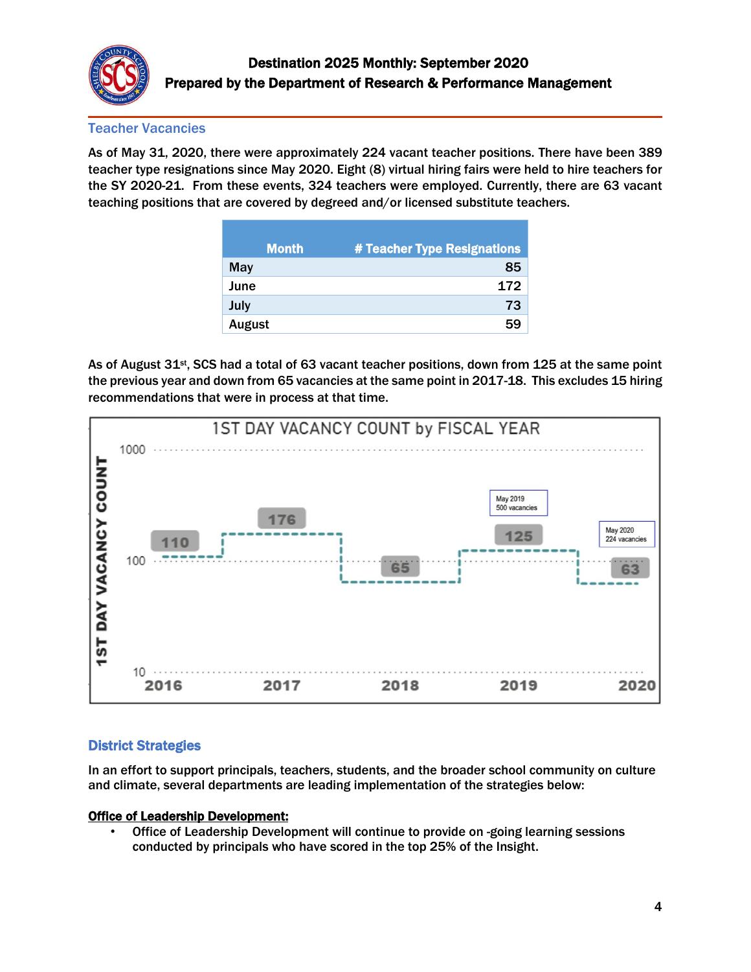

## Teacher Vacancies

As of May 31, 2020, there were approximately 224 vacant teacher positions. There have been 389 teacher type resignations since May 2020. Eight (8) virtual hiring fairs were held to hire teachers for the SY 2020-21. From these events, 324 teachers were employed. Currently, there are 63 vacant teaching positions that are covered by degreed and/or licensed substitute teachers.

| <b>Month</b> | # Teacher Type Resignations |
|--------------|-----------------------------|
| <b>May</b>   | 85                          |
| June         | 172                         |
| July         | 73                          |
| August       | 59                          |

As of August 31<sup>st</sup>, SCS had a total of 63 vacant teacher positions, down from 125 at the same point the previous year and down from 65 vacancies at the same point in 2017-18. This excludes 15 hiring recommendations that were in process at that time.



# District Strategies

In an effort to support principals, teachers, students, and the broader school community on culture and climate, several departments are leading implementation of the strategies below:

#### Office of Leadership Development:

• Office of Leadership Development will continue to provide on -going learning sessions conducted by principals who have scored in the top 25% of the Insight.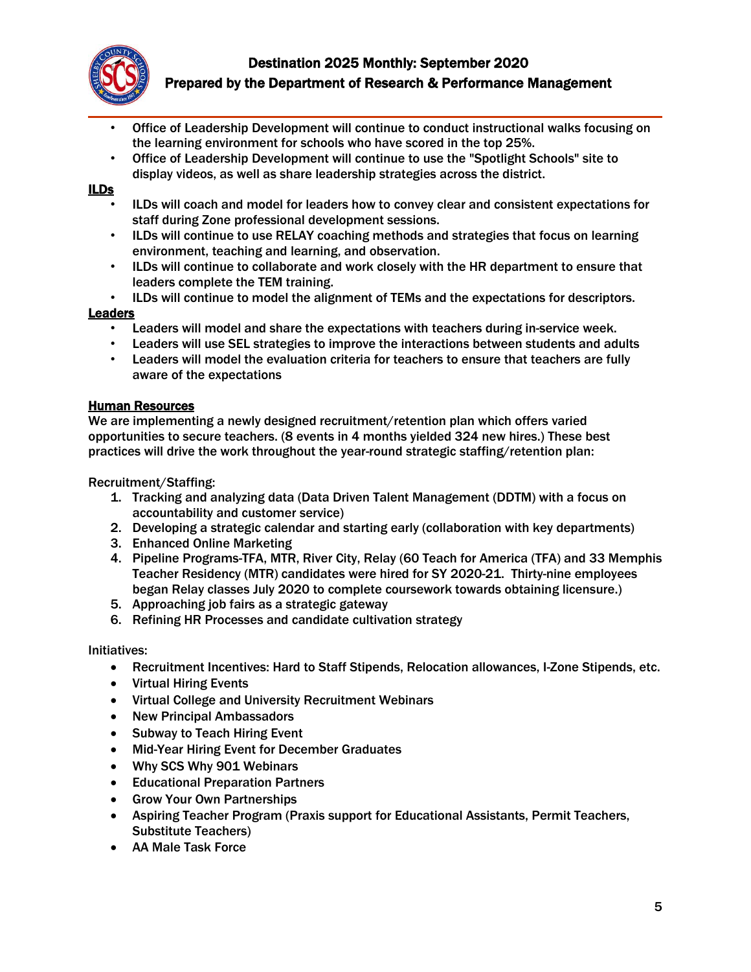

- Office of Leadership Development will continue to conduct instructional walks focusing on the learning environment for schools who have scored in the top 25%.
- Office of Leadership Development will continue to use the "Spotlight Schools" site to display videos, as well as share leadership strategies across the district.

#### ILDs

- ILDs will coach and model for leaders how to convey clear and consistent expectations for staff during Zone professional development sessions.
- ILDs will continue to use RELAY coaching methods and strategies that focus on learning environment, teaching and learning, and observation.
- ILDs will continue to collaborate and work closely with the HR department to ensure that leaders complete the TEM training.
- ILDs will continue to model the alignment of TEMs and the expectations for descriptors.

## Leaders

- Leaders will model and share the expectations with teachers during in-service week.
- Leaders will use SEL strategies to improve the interactions between students and adults
- Leaders will model the evaluation criteria for teachers to ensure that teachers are fully aware of the expectations

## Human Resources

We are implementing a newly designed recruitment/retention plan which offers varied opportunities to secure teachers. (8 events in 4 months yielded 324 new hires.) These best practices will drive the work throughout the year-round strategic staffing/retention plan:

Recruitment/Staffing:

- 1. Tracking and analyzing data (Data Driven Talent Management (DDTM) with a focus on accountability and customer service)
- 2. Developing a strategic calendar and starting early (collaboration with key departments)
- 3. Enhanced Online Marketing
- 4. Pipeline Programs-TFA, MTR, River City, Relay (60 Teach for America (TFA) and 33 Memphis Teacher Residency (MTR) candidates were hired for SY 2020-21. Thirty-nine employees began Relay classes July 2020 to complete coursework towards obtaining licensure.)
- 5. Approaching job fairs as a strategic gateway
- 6. Refining HR Processes and candidate cultivation strategy

#### Initiatives:

- Recruitment Incentives: Hard to Staff Stipends, Relocation allowances, I-Zone Stipends, etc.
- Virtual Hiring Events
- Virtual College and University Recruitment Webinars
- New Principal Ambassadors
- Subway to Teach Hiring Event
- Mid-Year Hiring Event for December Graduates
- Why SCS Why 901 Webinars
- Educational Preparation Partners
- Grow Your Own Partnerships
- Aspiring Teacher Program (Praxis support for Educational Assistants, Permit Teachers, Substitute Teachers)
- AA Male Task Force